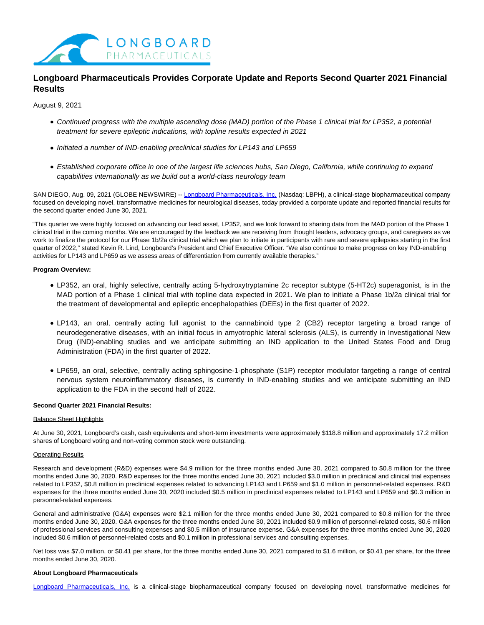

# **Longboard Pharmaceuticals Provides Corporate Update and Reports Second Quarter 2021 Financial Results**

August 9, 2021

- Continued progress with the multiple ascending dose (MAD) portion of the Phase 1 clinical trial for LP352, a potential treatment for severe epileptic indications, with topline results expected in 2021
- Initiated a number of IND-enabling preclinical studies for LP143 and LP659
- Established corporate office in one of the largest life sciences hubs, San Diego, California, while continuing to expand capabilities internationally as we build out a world-class neurology team

SAN DIEGO, Aug. 09, 2021 (GLOBE NEWSWIRE) -- [Longboard Pharmaceuticals, Inc. \(](https://www.globenewswire.com/Tracker?data=S9--_v-unKTew3oLxWh2RmOf38Y_VmJV5bMWwg5YGHEmx4F8K4pohoNS2U74mJdDzzSfQX1b5mpgvh0xlls1xixZGNqQ3KrQct4xgYFD8P7UtUA0kMneyRlMRmw6mnxf)Nasdaq: LBPH), a clinical-stage biopharmaceutical company focused on developing novel, transformative medicines for neurological diseases, today provided a corporate update and reported financial results for the second quarter ended June 30, 2021.

"This quarter we were highly focused on advancing our lead asset, LP352, and we look forward to sharing data from the MAD portion of the Phase 1 clinical trial in the coming months. We are encouraged by the feedback we are receiving from thought leaders, advocacy groups, and caregivers as we work to finalize the protocol for our Phase 1b/2a clinical trial which we plan to initiate in participants with rare and severe epilepsies starting in the first quarter of 2022," stated Kevin R. Lind, Longboard's President and Chief Executive Officer. "We also continue to make progress on key IND-enabling activities for LP143 and LP659 as we assess areas of differentiation from currently available therapies."

#### **Program Overview:**

- LP352, an oral, highly selective, centrally acting 5-hydroxytryptamine 2c receptor subtype (5-HT2c) superagonist, is in the MAD portion of a Phase 1 clinical trial with topline data expected in 2021. We plan to initiate a Phase 1b/2a clinical trial for the treatment of developmental and epileptic encephalopathies (DEEs) in the first quarter of 2022.
- LP143, an oral, centrally acting full agonist to the cannabinoid type 2 (CB2) receptor targeting a broad range of neurodegenerative diseases, with an initial focus in amyotrophic lateral sclerosis (ALS), is currently in Investigational New Drug (IND)-enabling studies and we anticipate submitting an IND application to the United States Food and Drug Administration (FDA) in the first quarter of 2022.
- LP659, an oral, selective, centrally acting sphingosine-1-phosphate (S1P) receptor modulator targeting a range of central nervous system neuroinflammatory diseases, is currently in IND-enabling studies and we anticipate submitting an IND application to the FDA in the second half of 2022.

## **Second Quarter 2021 Financial Results:**

#### Balance Sheet Highlights

At June 30, 2021, Longboard's cash, cash equivalents and short-term investments were approximately \$118.8 million and approximately 17.2 million shares of Longboard voting and non-voting common stock were outstanding.

# Operating Results

Research and development (R&D) expenses were \$4.9 million for the three months ended June 30, 2021 compared to \$0.8 million for the three months ended June 30, 2020. R&D expenses for the three months ended June 30, 2021 included \$3.0 million in preclinical and clinical trial expenses related to LP352, \$0.8 million in preclinical expenses related to advancing LP143 and LP659 and \$1.0 million in personnel-related expenses. R&D expenses for the three months ended June 30, 2020 included \$0.5 million in preclinical expenses related to LP143 and LP659 and \$0.3 million in personnel-related expenses.

General and administrative (G&A) expenses were \$2.1 million for the three months ended June 30, 2021 compared to \$0.8 million for the three months ended June 30, 2020. G&A expenses for the three months ended June 30, 2021 included \$0.9 million of personnel-related costs, \$0.6 million of professional services and consulting expenses and \$0.5 million of insurance expense. G&A expenses for the three months ended June 30, 2020 included \$0.6 million of personnel-related costs and \$0.1 million in professional services and consulting expenses.

Net loss was \$7.0 million, or \$0.41 per share, for the three months ended June 30, 2021 compared to \$1.6 million, or \$0.41 per share, for the three months ended June 30, 2020.

### **About Longboard Pharmaceuticals**

[Longboard Pharmaceuticals, Inc.](https://www.globenewswire.com/Tracker?data=S9--_v-unKTew3oLxWh2RmOf38Y_VmJV5bMWwg5YGHGO0xzMpym34dZrH2tvQyh2N9N-FKGjVptdiq9DOe6tg-EebpU6QfDsYxU5-yEPIlOg3UFTpFHe6oAXMB40v55R) is a clinical-stage biopharmaceutical company focused on developing novel, transformative medicines for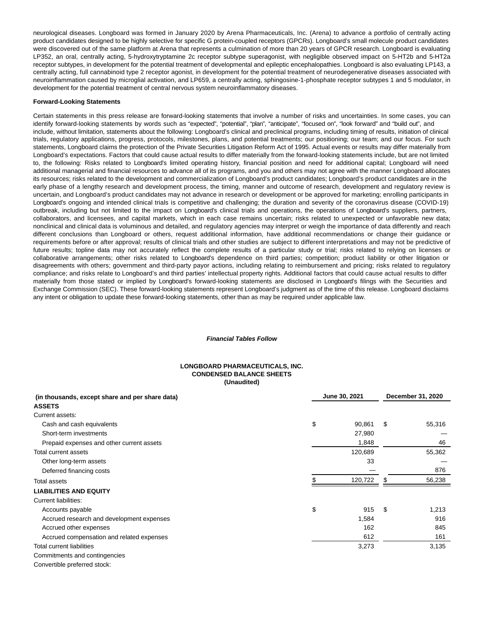neurological diseases. Longboard was formed in January 2020 by Arena Pharmaceuticals, Inc. (Arena) to advance a portfolio of centrally acting product candidates designed to be highly selective for specific G protein-coupled receptors (GPCRs). Longboard's small molecule product candidates were discovered out of the same platform at Arena that represents a culmination of more than 20 years of GPCR research. Longboard is evaluating LP352, an oral, centrally acting, 5-hydroxytryptamine 2c receptor subtype superagonist, with negligible observed impact on 5-HT2b and 5-HT2a receptor subtypes, in development for the potential treatment of developmental and epileptic encephalopathies. Longboard is also evaluating LP143, a centrally acting, full cannabinoid type 2 receptor agonist, in development for the potential treatment of neurodegenerative diseases associated with neuroinflammation caused by microglial activation, and LP659, a centrally acting, sphingosine-1-phosphate receptor subtypes 1 and 5 modulator, in development for the potential treatment of central nervous system neuroinflammatory diseases.

#### **Forward-Looking Statements**

Certain statements in this press release are forward-looking statements that involve a number of risks and uncertainties. In some cases, you can identify forward-looking statements by words such as "expected", "potential", "plan", "anticipate", "focused on", "look forward" and "build out", and include, without limitation, statements about the following: Longboard's clinical and preclinical programs, including timing of results, initiation of clinical trials, regulatory applications, progress, protocols, milestones, plans, and potential treatments; our positioning; our team; and our focus. For such statements, Longboard claims the protection of the Private Securities Litigation Reform Act of 1995. Actual events or results may differ materially from Longboard's expectations. Factors that could cause actual results to differ materially from the forward-looking statements include, but are not limited to, the following: Risks related to Longboard's limited operating history, financial position and need for additional capital; Longboard will need additional managerial and financial resources to advance all of its programs, and you and others may not agree with the manner Longboard allocates its resources; risks related to the development and commercialization of Longboard's product candidates; Longboard's product candidates are in the early phase of a lengthy research and development process, the timing, manner and outcome of research, development and regulatory review is uncertain, and Longboard's product candidates may not advance in research or development or be approved for marketing; enrolling participants in Longboard's ongoing and intended clinical trials is competitive and challenging; the duration and severity of the coronavirus disease (COVID-19) outbreak, including but not limited to the impact on Longboard's clinical trials and operations, the operations of Longboard's suppliers, partners, collaborators, and licensees, and capital markets, which in each case remains uncertain; risks related to unexpected or unfavorable new data; nonclinical and clinical data is voluminous and detailed, and regulatory agencies may interpret or weigh the importance of data differently and reach different conclusions than Longboard or others, request additional information, have additional recommendations or change their guidance or requirements before or after approval; results of clinical trials and other studies are subject to different interpretations and may not be predictive of future results; topline data may not accurately reflect the complete results of a particular study or trial; risks related to relying on licenses or collaborative arrangements; other risks related to Longboard's dependence on third parties; competition; product liability or other litigation or disagreements with others; government and third-party payor actions, including relating to reimbursement and pricing; risks related to regulatory compliance; and risks relate to Longboard's and third parties' intellectual property rights. Additional factors that could cause actual results to differ materially from those stated or implied by Longboard's forward-looking statements are disclosed in Longboard's filings with the Securities and Exchange Commission (SEC). These forward-looking statements represent Longboard's judgment as of the time of this release. Longboard disclaims any intent or obligation to update these forward-looking statements, other than as may be required under applicable law.

## **Financial Tables Follow**

### **LONGBOARD PHARMACEUTICALS, INC. CONDENSED BALANCE SHEETS (Unaudited)**

| (in thousands, except share and per share data) |    | June 30, 2021 | December 31, 2020 |        |  |
|-------------------------------------------------|----|---------------|-------------------|--------|--|
| <b>ASSETS</b>                                   |    |               |                   |        |  |
| Current assets:                                 |    |               |                   |        |  |
| Cash and cash equivalents                       | \$ | 90,861        | \$                | 55,316 |  |
| Short-term investments                          |    | 27,980        |                   |        |  |
| Prepaid expenses and other current assets       |    | 1,848         |                   | 46     |  |
| Total current assets                            |    | 120,689       |                   | 55,362 |  |
| Other long-term assets                          |    | 33            |                   |        |  |
| Deferred financing costs                        |    |               |                   | 876    |  |
| <b>Total assets</b>                             |    | 120,722       |                   | 56,238 |  |
| <b>LIABILITIES AND EQUITY</b>                   |    |               |                   |        |  |
| <b>Current liabilities:</b>                     |    |               |                   |        |  |
| Accounts payable                                | \$ | 915           | \$                | 1,213  |  |
| Accrued research and development expenses       |    | 1,584         |                   | 916    |  |
| Accrued other expenses                          |    | 162           |                   | 845    |  |
| Accrued compensation and related expenses       |    | 612           |                   | 161    |  |
| <b>Total current liabilities</b>                |    | 3,273         |                   | 3,135  |  |
| Commitments and contingencies                   |    |               |                   |        |  |
| Convertible preferred stock:                    |    |               |                   |        |  |